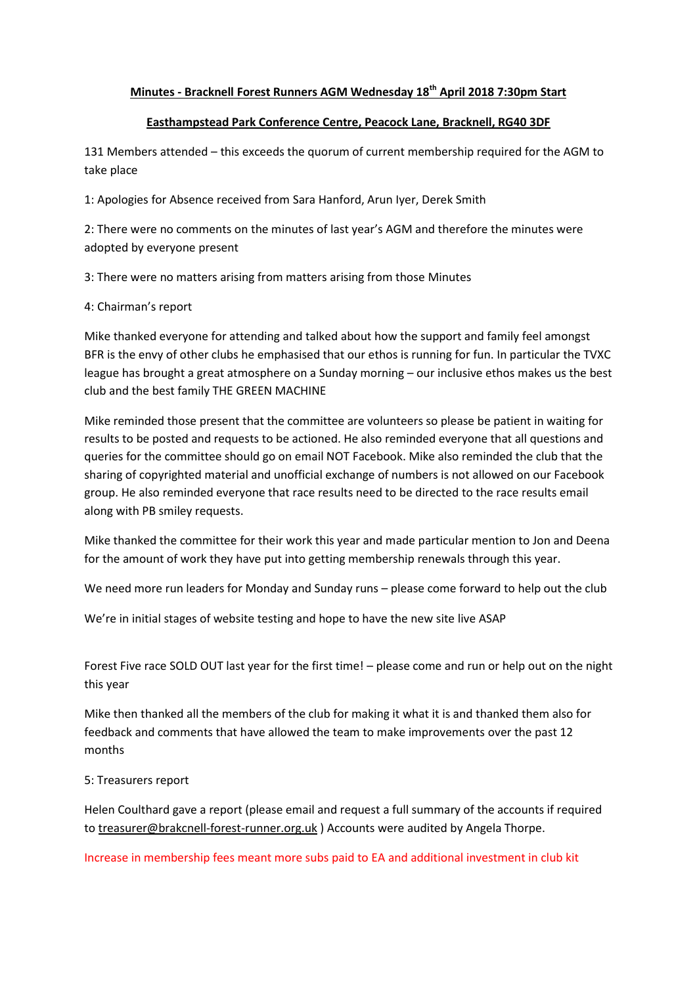## **Minutes - Bracknell Forest Runners AGM Wednesday 18th April 2018 7:30pm Start**

## **Easthampstead Park Conference Centre, Peacock Lane, Bracknell, RG40 3DF**

131 Members attended – this exceeds the quorum of current membership required for the AGM to take place

1: Apologies for Absence received from Sara Hanford, Arun Iyer, Derek Smith

2: There were no comments on the minutes of last year's AGM and therefore the minutes were adopted by everyone present

3: There were no matters arising from matters arising from those Minutes

4: Chairman's report

Mike thanked everyone for attending and talked about how the support and family feel amongst BFR is the envy of other clubs he emphasised that our ethos is running for fun. In particular the TVXC league has brought a great atmosphere on a Sunday morning – our inclusive ethos makes us the best club and the best family THE GREEN MACHINE

Mike reminded those present that the committee are volunteers so please be patient in waiting for results to be posted and requests to be actioned. He also reminded everyone that all questions and queries for the committee should go on email NOT Facebook. Mike also reminded the club that the sharing of copyrighted material and unofficial exchange of numbers is not allowed on our Facebook group. He also reminded everyone that race results need to be directed to the race results email along with PB smiley requests.

Mike thanked the committee for their work this year and made particular mention to Jon and Deena for the amount of work they have put into getting membership renewals through this year.

We need more run leaders for Monday and Sunday runs – please come forward to help out the club

We're in initial stages of website testing and hope to have the new site live ASAP

Forest Five race SOLD OUT last year for the first time! – please come and run or help out on the night this year

Mike then thanked all the members of the club for making it what it is and thanked them also for feedback and comments that have allowed the team to make improvements over the past 12 months

## 5: Treasurers report

Helen Coulthard gave a report (please email and request a full summary of the accounts if required to [treasurer@brakcnell-forest-runner.org.uk](mailto:treasurer@brakcnell-forest-runner.org.uk) ) Accounts were audited by Angela Thorpe.

Increase in membership fees meant more subs paid to EA and additional investment in club kit